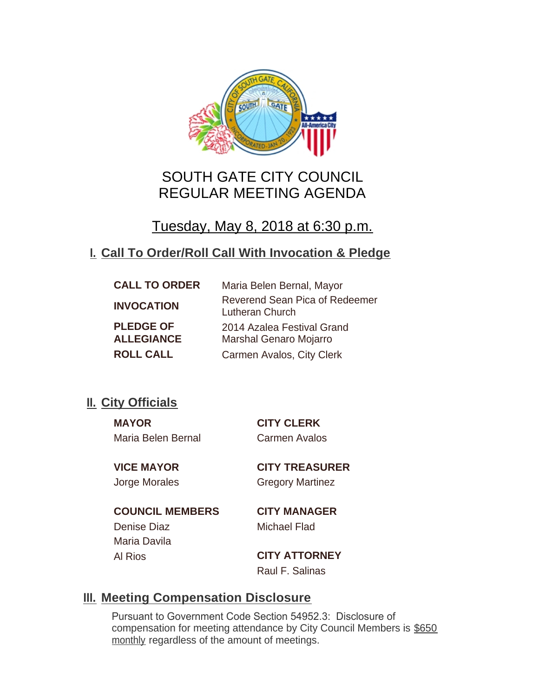

# SOUTH GATE CITY COUNCIL REGULAR MEETING AGENDA

# Tuesday, May 8, 2018 at 6:30 p.m.

# **Call To Order/Roll Call With Invocation & Pledge I.**

| <b>CALL TO ORDER</b>                  | Maria Belen Bernal, Mayor                         |
|---------------------------------------|---------------------------------------------------|
| <b>INVOCATION</b>                     | Reverend Sean Pica of Redeemer<br>Lutheran Church |
| <b>PLEDGE OF</b><br><b>ALLEGIANCE</b> | 2014 Azalea Festival Grand                        |
| <b>ROLL CALL</b>                      | <b>Marshal Genaro Mojarro</b>                     |
|                                       | Carmen Avalos, City Clerk                         |

# **II.** City Officials

**MAYOR CITY CLERK** Maria Belen Bernal Carmen Avalos

**VICE MAYOR CITY TREASURER** Jorge Morales Gregory Martinez

**COUNCIL MEMBERS CITY MANAGER** Denise Diaz Michael Flad Maria Davila

Al Rios **CITY ATTORNEY** Raul F. Salinas

## **Meeting Compensation Disclosure III.**

Pursuant to Government Code Section 54952.3: Disclosure of compensation for meeting attendance by City Council Members is \$650 monthly regardless of the amount of meetings.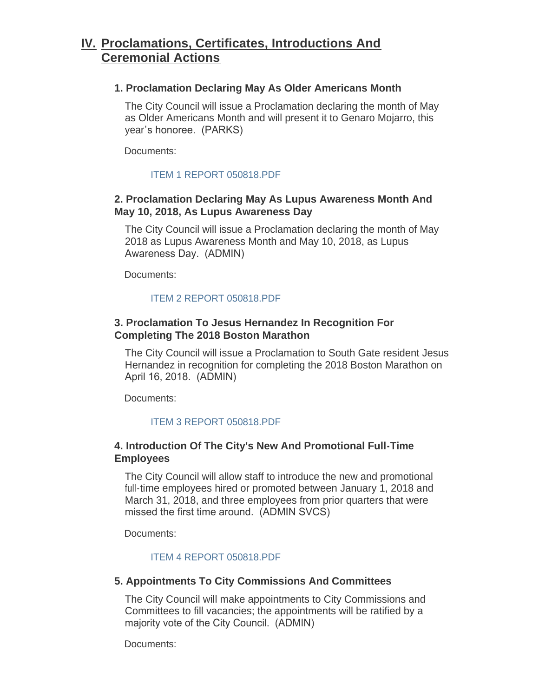## **Proclamations, Certificates, Introductions And IV. Ceremonial Actions**

#### **1. Proclamation Declaring May As Older Americans Month**

The City Council will issue a Proclamation declaring the month of May as Older Americans Month and will present it to Genaro Moiarro, this year's honoree. (PARKS)

Documents:

### [ITEM 1 REPORT 050818.PDF](http://cityofsouthgate.org/AgendaCenter/ViewFile/Item/5893?fileID=12329)

## **2. Proclamation Declaring May As Lupus Awareness Month And May 10, 2018, As Lupus Awareness Day**

The City Council will issue a Proclamation declaring the month of May 2018 as Lupus Awareness Month and May 10, 2018, as Lupus Awareness Day. (ADMIN)

Documents:

## [ITEM 2 REPORT 050818.PDF](http://cityofsouthgate.org/AgendaCenter/ViewFile/Item/5902?fileID=12335)

## **3. Proclamation To Jesus Hernandez In Recognition For Completing The 2018 Boston Marathon**

The City Council will issue a Proclamation to South Gate resident Jesus Hernandez in recognition for completing the 2018 Boston Marathon on April 16, 2018. (ADMIN)

Documents:

### [ITEM 3 REPORT 050818.PDF](http://cityofsouthgate.org/AgendaCenter/ViewFile/Item/5903?fileID=12336)

## **4. Introduction Of The City's New And Promotional Full-Time Employees**

The City Council will allow staff to introduce the new and promotional full-time employees hired or promoted between January 1, 2018 and March 31, 2018, and three employees from prior quarters that were missed the first time around. (ADMIN SVCS)

Documents:

### [ITEM 4 REPORT 050818.PDF](http://cityofsouthgate.org/AgendaCenter/ViewFile/Item/5894?fileID=12330)

### **5. Appointments To City Commissions And Committees**

The City Council will make appointments to City Commissions and Committees to fill vacancies; the appointments will be ratified by a majority vote of the City Council. (ADMIN)

Documents: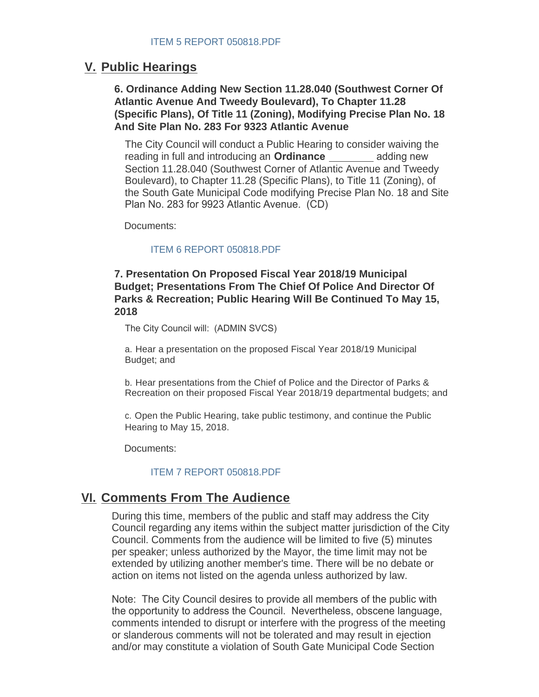## **Public Hearings V.**

**6. Ordinance Adding New Section 11.28.040 (Southwest Corner Of Atlantic Avenue And Tweedy Boulevard), To Chapter 11.28 (Specific Plans), Of Title 11 (Zoning), Modifying Precise Plan No. 18 And Site Plan No. 283 For 9323 Atlantic Avenue**

The City Council will conduct a Public Hearing to consider waiving the reading in full and introducing an **Ordinance** adding new Section 11.28.040 (Southwest Corner of Atlantic Avenue and Tweedy Boulevard), to Chapter 11.28 (Specific Plans), to Title 11 (Zoning), of the South Gate Municipal Code modifying Precise Plan No. 18 and Site Plan No. 283 for 9923 Atlantic Avenue. (CD)

Documents:

#### [ITEM 6 REPORT 050818.PDF](http://cityofsouthgate.org/AgendaCenter/ViewFile/Item/5910?fileID=12347)

#### **7. Presentation On Proposed Fiscal Year 2018/19 Municipal Budget; Presentations From The Chief Of Police And Director Of Parks & Recreation; Public Hearing Will Be Continued To May 15, 2018**

The City Council will: (ADMIN SVCS)

a. Hear a presentation on the proposed Fiscal Year 2018/19 Municipal Budget; and

b. Hear presentations from the Chief of Police and the Director of Parks & Recreation on their proposed Fiscal Year 2018/19 departmental budgets; and

c. Open the Public Hearing, take public testimony, and continue the Public Hearing to May 15, 2018.

Documents:

#### [ITEM 7 REPORT 050818.PDF](http://cityofsouthgate.org/AgendaCenter/ViewFile/Item/5896?fileID=12332)

## **<u>VI. Comments From The Audience</u>**

During this time, members of the public and staff may address the City Council regarding any items within the subject matter jurisdiction of the City Council. Comments from the audience will be limited to five (5) minutes per speaker; unless authorized by the Mayor, the time limit may not be extended by utilizing another member's time. There will be no debate or action on items not listed on the agenda unless authorized by law.

Note: The City Council desires to provide all members of the public with the opportunity to address the Council. Nevertheless, obscene language, comments intended to disrupt or interfere with the progress of the meeting or slanderous comments will not be tolerated and may result in ejection and/or may constitute a violation of South Gate Municipal Code Section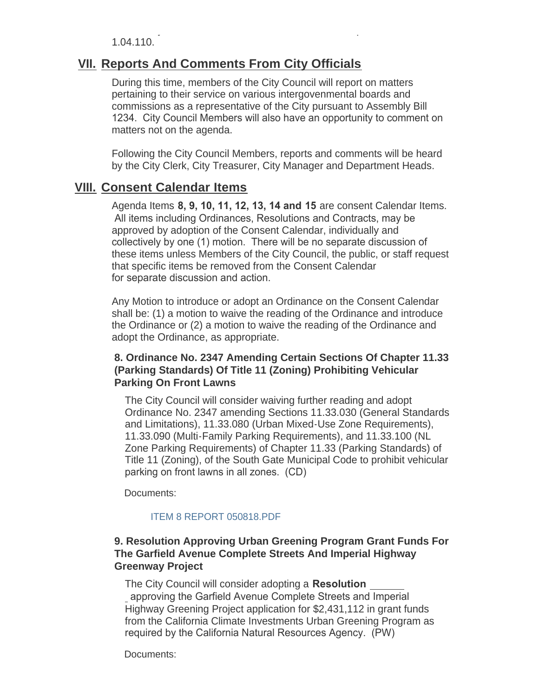and/or may constitute a violation of South Gate Municipal Code Section 1.04.110.

## **<u>VII. Reports And Comments From City Officials</u>**

During this time, members of the City Council will report on matters pertaining to their service on various intergovenmental boards and commissions as a representative of the City pursuant to Assembly Bill 1234. City Council Members will also have an opportunity to comment on matters not on the agenda.

Following the City Council Members, reports and comments will be heard by the City Clerk, City Treasurer, City Manager and Department Heads.

## **Consent Calendar Items VIII.**

Agenda Items **8, 9, 10, 11, 12, 13, 14 and 15** are consent Calendar Items. All items including Ordinances, Resolutions and Contracts, may be approved by adoption of the Consent Calendar, individually and collectively by one (1) motion. There will be no separate discussion of these items unless Members of the City Council, the public, or staff request that specific items be removed from the Consent Calendar for separate discussion and action.

Any Motion to introduce or adopt an Ordinance on the Consent Calendar shall be: (1) a motion to waive the reading of the Ordinance and introduce the Ordinance or (2) a motion to waive the reading of the Ordinance and adopt the Ordinance, as appropriate.

### **8. Ordinance No. 2347 Amending Certain Sections Of Chapter 11.33 (Parking Standards) Of Title 11 (Zoning) Prohibiting Vehicular Parking On Front Lawns**

The City Council will consider waiving further reading and adopt Ordinance No. 2347 amending Sections 11.33.030 (General Standards and Limitations), 11.33.080 (Urban Mixed-Use Zone Requirements), 11.33.090 (Multi-Family Parking Requirements), and 11.33.100 (NL Zone Parking Requirements) of Chapter 11.33 (Parking Standards) of Title 11 (Zoning), of the South Gate Municipal Code to prohibit vehicular parking on front lawns in all zones. (CD)

Documents:

#### [ITEM 8 REPORT 050818.PDF](http://cityofsouthgate.org/AgendaCenter/ViewFile/Item/5897?fileID=12333)

### **9. Resolution Approving Urban Greening Program Grant Funds For The Garfield Avenue Complete Streets And Imperial Highway Greenway Project**

The City Council will consider adopting a **Resolution**  approving the Garfield Avenue Complete Streets and Imperial Highway Greening Project application for \$2,431,112 in grant funds from the California Climate Investments Urban Greening Program as required by the California Natural Resources Agency. (PW)

Documents: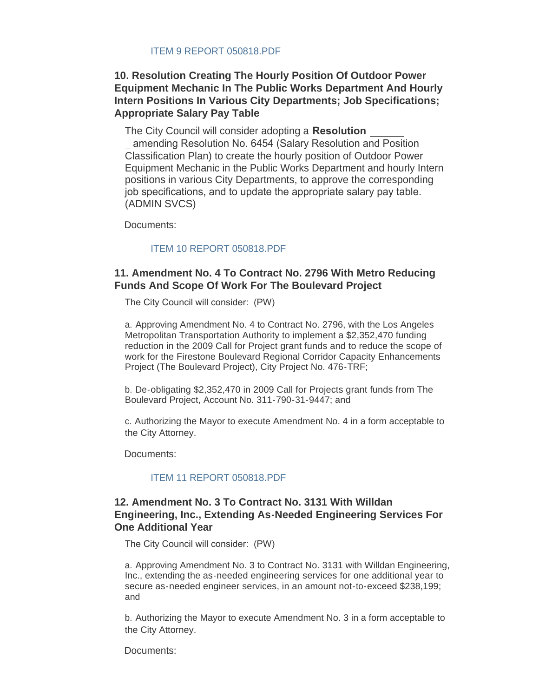## **10. Resolution Creating The Hourly Position Of Outdoor Power Equipment Mechanic In The Public Works Department And Hourly Intern Positions In Various City Departments; Job Specifications; Appropriate Salary Pay Table**

The City Council will consider adopting a **Resolution** 

 amending Resolution No. 6454 (Salary Resolution and Position Classification Plan) to create the hourly position of Outdoor Power Equipment Mechanic in the Public Works Department and hourly Intern positions in various City Departments, to approve the corresponding job specifications, and to update the appropriate salary pay table. (ADMIN SVCS)

Documents:

#### [ITEM 10 REPORT 050818.PDF](http://cityofsouthgate.org/AgendaCenter/ViewFile/Item/5905?fileID=12344)

#### **11. Amendment No. 4 To Contract No. 2796 With Metro Reducing Funds And Scope Of Work For The Boulevard Project**

The City Council will consider: (PW)

a. Approving Amendment No. 4 to Contract No. 2796, with the Los Angeles Metropolitan Transportation Authority to implement a \$2,352,470 funding reduction in the 2009 Call for Project grant funds and to reduce the scope of work for the Firestone Boulevard Regional Corridor Capacity Enhancements Project (The Boulevard Project), City Project No. 476-TRF;

b. De-obligating \$2,352,470 in 2009 Call for Projects grant funds from The Boulevard Project, Account No. 311-790-31-9447; and

c. Authorizing the Mayor to execute Amendment No. 4 in a form acceptable to the City Attorney.

Documents:

#### [ITEM 11 REPORT 050818.PDF](http://cityofsouthgate.org/AgendaCenter/ViewFile/Item/5906?fileID=12338)

#### **12. Amendment No. 3 To Contract No. 3131 With Willdan Engineering, Inc., Extending As-Needed Engineering Services For One Additional Year**

The City Council will consider: (PW)

a. Approving Amendment No. 3 to Contract No. 3131 with Willdan Engineering, Inc., extending the as-needed engineering services for one additional year to secure as-needed engineer services, in an amount not-to-exceed \$238,199; and

b. Authorizing the Mayor to execute Amendment No. 3 in a form acceptable to the City Attorney.

Documents: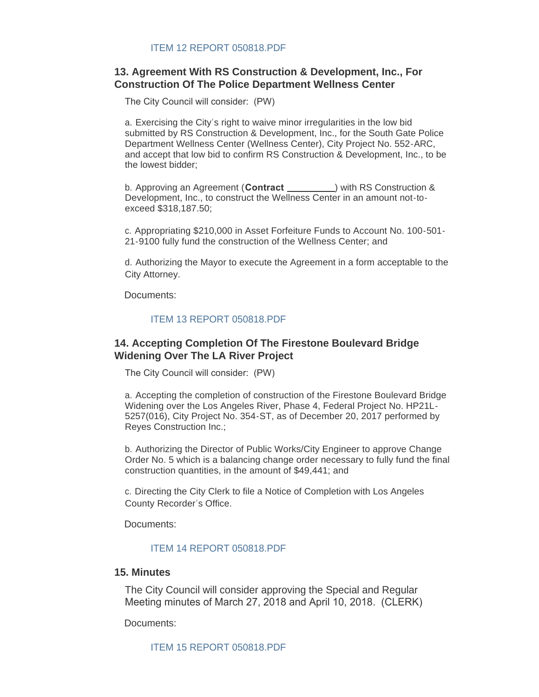## **13. Agreement With RS Construction & Development, Inc., For Construction Of The Police Department Wellness Center**

The City Council will consider: (PW)

a. Exercising the City's right to waive minor irregularities in the low bid submitted by RS Construction & Development, Inc., for the South Gate Police Department Wellness Center (Wellness Center), City Project No. 552-ARC, and accept that low bid to confirm RS Construction & Development, Inc., to be the lowest bidder;

b. Approving an Agreement (**Contract** ) with RS Construction & Development, Inc., to construct the Wellness Center in an amount not-toexceed \$318,187.50;

c. Appropriating \$210,000 in Asset Forfeiture Funds to Account No. 100-501- 21-9100 fully fund the construction of the Wellness Center; and

d. Authorizing the Mayor to execute the Agreement in a form acceptable to the City Attorney.

Documents:

#### [ITEM 13 REPORT 050818.PDF](http://cityofsouthgate.org/AgendaCenter/ViewFile/Item/5908?fileID=12340)

#### **14. Accepting Completion Of The Firestone Boulevard Bridge Widening Over The LA River Project**

The City Council will consider: (PW)

a. Accepting the completion of construction of the Firestone Boulevard Bridge Widening over the Los Angeles River, Phase 4, Federal Project No. HP21L-5257(016), City Project No. 354-ST, as of December 20, 2017 performed by Reyes Construction Inc.;

b. Authorizing the Director of Public Works/City Engineer to approve Change Order No. 5 which is a balancing change order necessary to fully fund the final construction quantities, in the amount of \$49,441; and

c. Directing the City Clerk to file a Notice of Completion with Los Angeles County Recorder's Office.

Documents:

#### [ITEM 14 REPORT 050818.PDF](http://cityofsouthgate.org/AgendaCenter/ViewFile/Item/5909?fileID=12341)

#### **15. Minutes**

The City Council will consider approving the Special and Regular Meeting minutes of March 27, 2018 and April 10, 2018. (CLERK)

Documents:

[ITEM 15 REPORT 050818.PDF](http://cityofsouthgate.org/AgendaCenter/ViewFile/Item/5898?fileID=12334)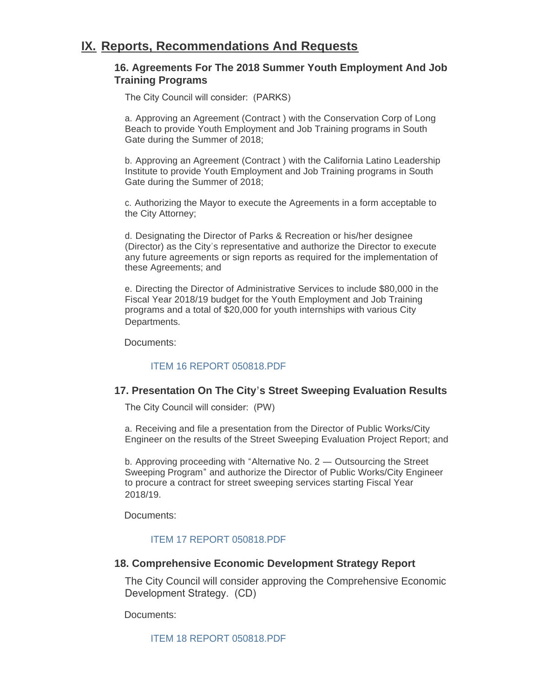## **IX. Reports, Recommendations And Requests**

#### **16. Agreements For The 2018 Summer Youth Employment And Job Training Programs**

The City Council will consider: (PARKS)

a. Approving an Agreement (Contract ) with the Conservation Corp of Long Beach to provide Youth Employment and Job Training programs in South Gate during the Summer of 2018;

b. Approving an Agreement (Contract ) with the California Latino Leadership Institute to provide Youth Employment and Job Training programs in South Gate during the Summer of 2018;

c. Authorizing the Mayor to execute the Agreements in a form acceptable to the City Attorney;

d. Designating the Director of Parks & Recreation or his/her designee (Director) as the City's representative and authorize the Director to execute any future agreements or sign reports as required for the implementation of these Agreements; and

e. Directing the Director of Administrative Services to include \$80,000 in the Fiscal Year 2018/19 budget for the Youth Employment and Job Training programs and a total of \$20,000 for youth internships with various City Departments.

Documents:

### [ITEM 16 REPORT 050818.PDF](http://cityofsouthgate.org/AgendaCenter/ViewFile/Item/5913?fileID=12345)

#### **17. Presentation On The City's Street Sweeping Evaluation Results**

The City Council will consider: (PW)

a. Receiving and file a presentation from the Director of Public Works/City Engineer on the results of the Street Sweeping Evaluation Project Report; and

b. Approving proceeding with "Alternative No. 2 — Outsourcing the Street Sweeping Program" and authorize the Director of Public Works/City Engineer to procure a contract for street sweeping services starting Fiscal Year 2018/19.

Documents:

### [ITEM 17 REPORT 050818.PDF](http://cityofsouthgate.org/AgendaCenter/ViewFile/Item/5914?fileID=12346)

#### **18. Comprehensive Economic Development Strategy Report**

The City Council will consider approving the Comprehensive Economic Development Strategy. (CD)

Documents:

[ITEM 18 REPORT 050818.PDF](http://cityofsouthgate.org/AgendaCenter/ViewFile/Item/5911?fileID=12342)